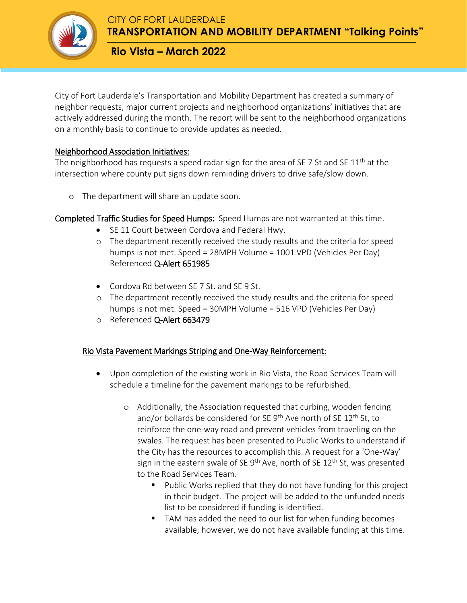

**TRANSPORTATION AND MOBILITY DEPARTMENT "Talking Points"**

**Rio Vista – March 2022**

City of Fort Lauderdale's Transportation and Mobility Department has created a summary of neighbor requests, major current projects and neighborhood organizations' initiatives that are actively addressed during the month. The report will be sent to the neighborhood organizations on a monthly basis to continue to provide updates as needed.

## Neighborhood Association Initiatives:

The neighborhood has requests a speed radar sign for the area of SE 7 St and SE  $11<sup>th</sup>$  at the intersection where county put signs down reminding drivers to drive safe/slow down.

o The department will share an update soon.

Completed Traffic Studies for Speed Humps: Speed Humps are not warranted at this time.

- SE 11 Court between Cordova and Federal Hwy.
- o The department recently received the study results and the criteria for speed humps is not met. Speed = 28MPH Volume = 1001 VPD (Vehicles Per Day) Referenced Q-Alert 651985
- Cordova Rd between SE 7 St. and SE 9 St.
- o The department recently received the study results and the criteria for speed humps is not met. Speed = 30MPH Volume = 516 VPD (Vehicles Per Day)
- o Referenced Q-Alert 663479

#### Rio Vista Pavement Markings Striping and One-Way Reinforcement:

- Upon completion of the existing work in Rio Vista, the Road Services Team will schedule a timeline for the pavement markings to be refurbished.
	- o Additionally, the Association requested that curbing, wooden fencing and/or bollards be considered for SE 9<sup>th</sup> Ave north of SE 12<sup>th</sup> St, to reinforce the one-way road and prevent vehicles from traveling on the swales. The request has been presented to Public Works to understand if the City has the resources to accomplish this. A request for a 'One-Way' sign in the eastern swale of SE  $9<sup>th</sup>$  Ave, north of SE 12<sup>th</sup> St, was presented to the Road Services Team.
		- **Public Works replied that they do not have funding for this project** in their budget. The project will be added to the unfunded needs list to be considered if funding is identified.
		- TAM has added the need to our list for when funding becomes available; however, we do not have available funding at this time.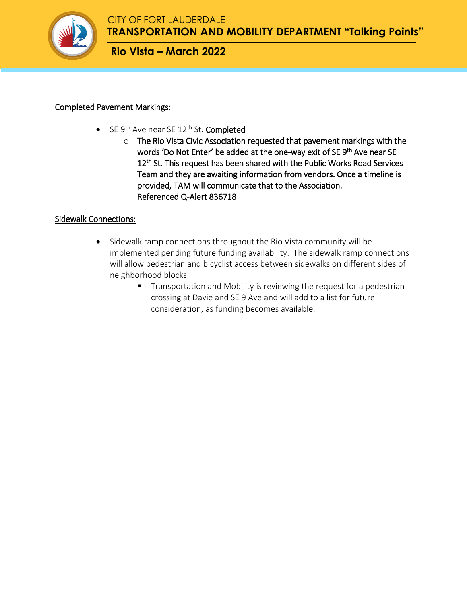

# **Rio Vista – March 2022**

# Completed Pavement Markings:

- $\bullet$  SE 9<sup>th</sup> Ave near SE 12<sup>th</sup> St. **Completed** 
	- o The Rio Vista Civic Association requested that pavement markings with the words 'Do Not Enter' be added at the one-way exit of SE 9<sup>th</sup> Ave near SE 12<sup>th</sup> St. This request has been shared with the Public Works Road Services Team and they are awaiting information from vendors. Once a timeline is provided, TAM will communicate that to the Association. Referenced Q-Alert 836718

## Sidewalk Connections:

- Sidewalk ramp connections throughout the Rio Vista community will be implemented pending future funding availability. The sidewalk ramp connections will allow pedestrian and bicyclist access between sidewalks on different sides of neighborhood blocks.
	- **Transportation and Mobility is reviewing the request for a pedestrian** crossing at Davie and SE 9 Ave and will add to a list for future consideration, as funding becomes available.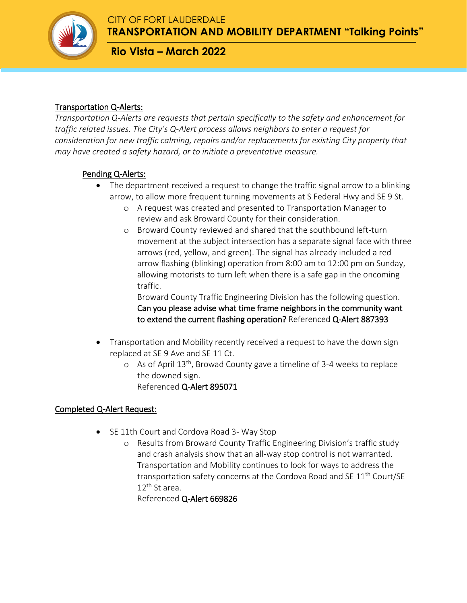**TRANSPORTATION AND MOBILITY DEPARTMENT "Talking Points"**

**Rio Vista – March 2022**

# Transportation Q-Alerts:

*Transportation Q-Alerts are requests that pertain specifically to the safety and enhancement for traffic related issues. The City's Q-Alert process allows neighbors to enter a request for consideration for new traffic calming, repairs and/or replacements for existing City property that may have created a safety hazard, or to initiate a preventative measure.*

# Pending Q-Alerts:

- The department received a request to change the traffic signal arrow to a blinking arrow, to allow more frequent turning movements at S Federal Hwy and SE 9 St.
	- o A request was created and presented to Transportation Manager to review and ask Broward County for their consideration.
	- o Broward County reviewed and shared that the southbound left-turn movement at the subject intersection has a separate signal face with three arrows (red, yellow, and green). The signal has already included a red arrow flashing (blinking) operation from 8:00 am to 12:00 pm on Sunday, allowing motorists to turn left when there is a safe gap in the oncoming traffic.

Broward County Traffic Engineering Division has the following question. Can you please advise what time frame neighbors in the community want to extend the current flashing operation? Referenced Q-Alert 887393

- Transportation and Mobility recently received a request to have the down sign replaced at SE 9 Ave and SE 11 Ct.
	- o As of April 13th, Browad County gave a timeline of 3-4 weeks to replace the downed sign.

Referenced Q-Alert 895071

# Completed Q-Alert Request:

- SE 11th Court and Cordova Road 3- Way Stop
	- o Results from Broward County Traffic Engineering Division's traffic study and crash analysis show that an all-way stop control is not warranted. Transportation and Mobility continues to look for ways to address the transportation safety concerns at the Cordova Road and SE  $11<sup>th</sup>$  Court/SE 12th St area.

Referenced Q-Alert 669826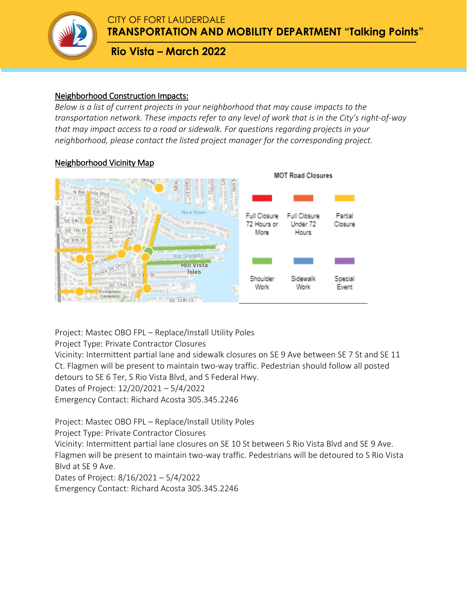

**TRANSPORTATION AND MOBILITY DEPARTMENT "Talking Points"**

**Rio Vista – March 2022**

## Neighborhood Construction Impacts:

*Below is a list of current projects in your neighborhood that may cause impacts to the transportation network. These impacts refer to any level of work that is in the City's right-of-way that may impact access to a road or sidewalk. For questions regarding projects in your neighborhood, please contact the listed project manager for the corresponding project.* 

## Neighborhood Vicinity Map



Project: Mastec OBO FPL – Replace/Install Utility Poles

Project Type: Private Contractor Closures

Vicinity: Intermittent partial lane and sidewalk closures on SE 9 Ave between SE 7 St and SE 11 Ct. Flagmen will be present to maintain two-way traffic. Pedestrian should follow all posted detours to SE 6 Ter, S Rio Vista Blvd, and S Federal Hwy. Dates of Project: 12/20/2021 – 5/4/2022

Emergency Contact: Richard Acosta 305.345.2246

Project: Mastec OBO FPL – Replace/Install Utility Poles

Project Type: Private Contractor Closures

Vicinity: Intermittent partial lane closures on SE 10 St between S Rio Vista Blvd and SE 9 Ave. Flagmen will be present to maintain two-way traffic. Pedestrians will be detoured to S Rio Vista Blvd at SE 9 Ave.

Dates of Project: 8/16/2021 – 5/4/2022

Emergency Contact: Richard Acosta 305.345.2246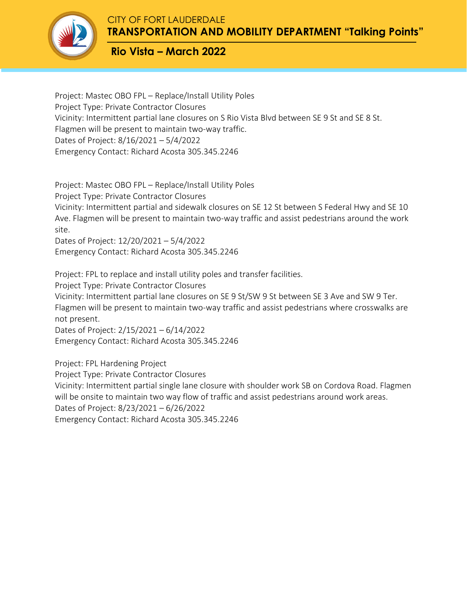**TRANSPORTATION AND MOBILITY DEPARTMENT "Talking Points"**

**Rio Vista – March 2022**

Project: Mastec OBO FPL – Replace/Install Utility Poles Project Type: Private Contractor Closures Vicinity: Intermittent partial lane closures on S Rio Vista Blvd between SE 9 St and SE 8 St. Flagmen will be present to maintain two-way traffic. Dates of Project: 8/16/2021 – 5/4/2022 Emergency Contact: Richard Acosta 305.345.2246

Project: Mastec OBO FPL – Replace/Install Utility Poles

Project Type: Private Contractor Closures

Vicinity: Intermittent partial and sidewalk closures on SE 12 St between S Federal Hwy and SE 10 Ave. Flagmen will be present to maintain two-way traffic and assist pedestrians around the work site.

Dates of Project: 12/20/2021 – 5/4/2022 Emergency Contact: Richard Acosta 305.345.2246

Project: FPL to replace and install utility poles and transfer facilities. Project Type: Private Contractor Closures Vicinity: Intermittent partial lane closures on SE 9 St/SW 9 St between SE 3 Ave and SW 9 Ter. Flagmen will be present to maintain two-way traffic and assist pedestrians where crosswalks are not present. Dates of Project: 2/15/2021 – 6/14/2022

Emergency Contact: Richard Acosta 305.345.2246

Project: FPL Hardening Project Project Type: Private Contractor Closures Vicinity: Intermittent partial single lane closure with shoulder work SB on Cordova Road. Flagmen will be onsite to maintain two way flow of traffic and assist pedestrians around work areas. Dates of Project: 8/23/2021 – 6/26/2022 Emergency Contact: Richard Acosta 305.345.2246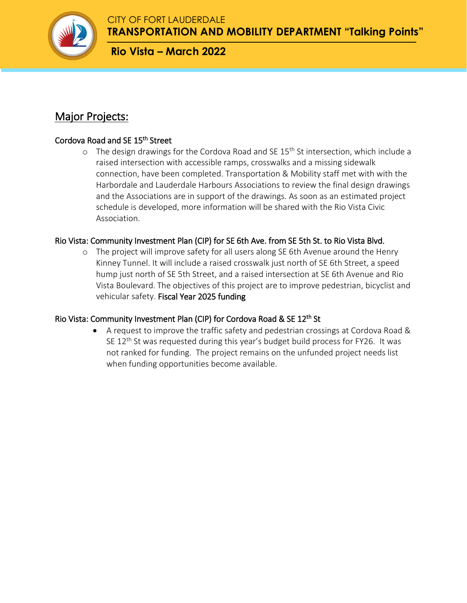

**TRANSPORTATION AND MOBILITY DEPARTMENT "Talking Points"**

**Rio Vista – March 2022**

# Major Projects:

# Cordova Road and SE 15<sup>th</sup> Street

 $\circ$  The design drawings for the Cordova Road and SE 15<sup>th</sup> St intersection, which include a raised intersection with accessible ramps, crosswalks and a missing sidewalk connection, have been completed. Transportation & Mobility staff met with with the Harbordale and Lauderdale Harbours Associations to review the final design drawings and the Associations are in support of the drawings. As soon as an estimated project schedule is developed, more information will be shared with the Rio Vista Civic Association.

# Rio Vista: Community Investment Plan (CIP) for SE 6th Ave. from SE 5th St. to Rio Vista Blvd.

o The project will improve safety for all users along SE 6th Avenue around the Henry Kinney Tunnel. It will include a raised crosswalk just north of SE 6th Street, a speed hump just north of SE 5th Street, and a raised intersection at SE 6th Avenue and Rio Vista Boulevard. The objectives of this project are to improve pedestrian, bicyclist and vehicular safety. Fiscal Year 2025 funding

# Rio Vista: Community Investment Plan (CIP) for Cordova Road & SE 12<sup>th</sup> St

 A request to improve the traffic safety and pedestrian crossings at Cordova Road & SE  $12<sup>th</sup>$  St was requested during this year's budget build process for FY26. It was not ranked for funding. The project remains on the unfunded project needs list when funding opportunities become available.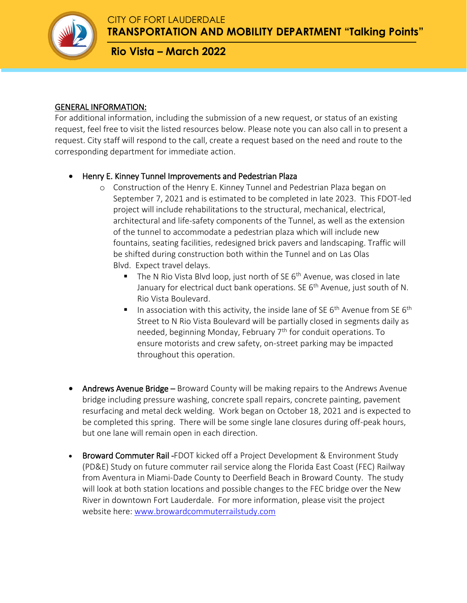

**TRANSPORTATION AND MOBILITY DEPARTMENT "Talking Points"**

**Rio Vista – March 2022**

### GENERAL INFORMATION:

For additional information, including the submission of a new request, or status of an existing request, feel free to visit the listed resources below. Please note you can also call in to present a request. City staff will respond to the call, create a request based on the need and route to the corresponding department for immediate action.

## Henry E. Kinney Tunnel Improvements and Pedestrian Plaza

- o Construction of the Henry E. Kinney Tunnel and Pedestrian Plaza began on September 7, 2021 and is estimated to be completed in late 2023. This FDOT-led project will include rehabilitations to the structural, mechanical, electrical, architectural and life-safety components of the Tunnel, as well as the extension of the tunnel to accommodate a pedestrian plaza which will include new fountains, seating facilities, redesigned brick pavers and landscaping. Traffic will be shifted during construction both within the Tunnel and on Las Olas Blvd. Expect travel delays.
	- The N Rio Vista Blvd loop, just north of SE  $6<sup>th</sup>$  Avenue, was closed in late January for electrical duct bank operations. SE  $6<sup>th</sup>$  Avenue, just south of N. Rio Vista Boulevard.
	- In association with this activity, the inside lane of SE  $6<sup>th</sup>$  Avenue from SE  $6<sup>th</sup>$ Street to N Rio Vista Boulevard will be partially closed in segments daily as needed, beginning Monday, February 7<sup>th</sup> for conduit operations. To ensure motorists and crew safety, on-street parking may be impacted throughout this operation.
- Andrews Avenue Bridge Broward County will be making repairs to the Andrews Avenue bridge including pressure washing, concrete spall repairs, concrete painting, pavement resurfacing and metal deck welding. Work began on October 18, 2021 and is expected to be completed this spring. There will be some single lane closures during off-peak hours, but one lane will remain open in each direction.
- Broward Commuter Rail -FDOT kicked off a Project Development & Environment Study (PD&E) Study on future commuter rail service along the Florida East Coast (FEC) Railway from Aventura in Miami-Dade County to Deerfield Beach in Broward County. The study will look at both station locations and possible changes to the FEC bridge over the New River in downtown Fort Lauderdale. For more information, please visit the project website here: [www.browardcommuterrailstudy.com](http://www.browardcommuterrailstudy.com/)